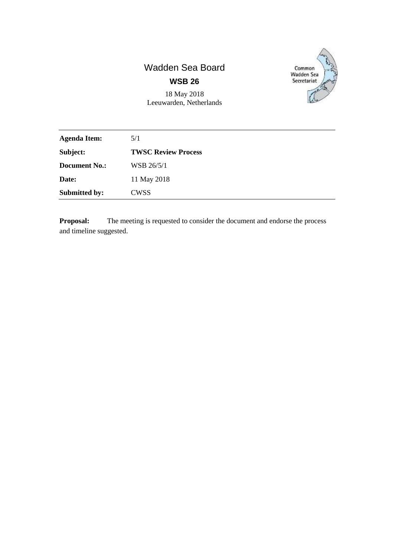## Wadden Sea Board **WSB 26**



18 May 2018 Leeuwarden, Netherlands

| <b>Agenda Item:</b>  | 5/1                        |
|----------------------|----------------------------|
| Subject:             | <b>TWSC Review Process</b> |
| <b>Document No.:</b> | WSB 26/5/1                 |
| Date:                | 11 May 2018                |
| <b>Submitted by:</b> | <b>CWSS</b>                |

**Proposal:** The meeting is requested to consider the document and endorse the process and timeline suggested.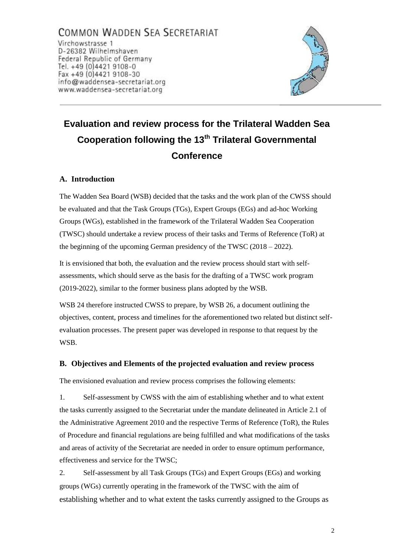COMMON WADDEN SEA SECRETARIAT Virchowstrasse 1 D-26382 Wilhelmshaven Federal Republic of Germany Tel. +49 (0)4421 9108-0 Fax +49 (0)4421 9108-30 info@waddensea-secretariat.org www.waddensea-secretariat.org



# **Evaluation and review process for the Trilateral Wadden Sea Cooperation following the 13th Trilateral Governmental Conference**

#### **A. Introduction**

The Wadden Sea Board (WSB) decided that the tasks and the work plan of the CWSS should be evaluated and that the Task Groups (TGs), Expert Groups (EGs) and ad-hoc Working Groups (WGs), established in the framework of the Trilateral Wadden Sea Cooperation (TWSC) should undertake a review process of their tasks and Terms of Reference (ToR) at the beginning of the upcoming German presidency of the TWSC (2018 – 2022).

It is envisioned that both, the evaluation and the review process should start with selfassessments, which should serve as the basis for the drafting of a TWSC work program (2019-2022), similar to the former business plans adopted by the WSB.

WSB 24 therefore instructed CWSS to prepare, by WSB 26, a document outlining the objectives, content, process and timelines for the aforementioned two related but distinct selfevaluation processes. The present paper was developed in response to that request by the WSB.

#### **B. Objectives and Elements of the projected evaluation and review process**

The envisioned evaluation and review process comprises the following elements:

1. Self-assessment by CWSS with the aim of establishing whether and to what extent the tasks currently assigned to the Secretariat under the mandate delineated in Article 2.1 of the Administrative Agreement 2010 and the respective Terms of Reference (ToR), the Rules of Procedure and financial regulations are being fulfilled and what modifications of the tasks and areas of activity of the Secretariat are needed in order to ensure optimum performance, effectiveness and service for the TWSC;

2. Self-assessment by all Task Groups (TGs) and Expert Groups (EGs) and working groups (WGs) currently operating in the framework of the TWSC with the aim of establishing whether and to what extent the tasks currently assigned to the Groups as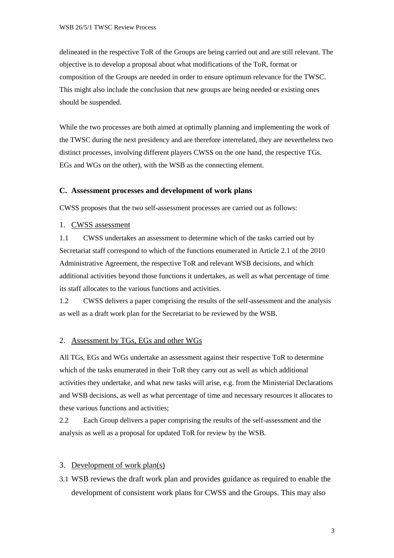delineated in the respective ToR of the Groups are being carried out and are still relevant. The objective is to develop a proposal about what modifications of the ToR, format or composition of the Groups are needed in order to ensure optimum relevance for the TWSC. This might also include the conclusion that new groups are being needed or existing ones should be suspended.

While the two processes are both aimed at optimally planning and implementing the work of the TWSC during the next presidency and are therefore interrelated, they are nevertheless two distinct processes, involving different players CWSS on the one hand, the respective TGs. EGs and WGs on the other), with the WSB as the connecting element.

#### **C. Assessment processes and development of work plans**

CWSS proposes that the two self-assessment processes are carried out as follows:

1. CWSS assessment

1.1 CWSS undertakes an assessment to determine which of the tasks carried out by Secretariat staff correspond to which of the functions enumerated in Article 2.1 of the 2010 Administrative Agreement, the respective ToR and relevant WSB decisions, and which additional activities beyond those functions it undertakes, as well as what percentage of time its staff allocates to the various functions and activities.

1.2 CWSS delivers a paper comprising the results of the self-assessment and the analysis as well as a draft work plan for the Secretariat to be reviewed by the WSB.

#### 2. Assessment by TGs, EGs and other WGs

All TGs, EGs and WGs undertake an assessment against their respective ToR to determine which of the tasks enumerated in their ToR they carry out as well as which additional activities they undertake, and what new tasks will arise, e.g. from the Ministerial Declarations and WSB decisions, as well as what percentage of time and necessary resources it allocates to these various functions and activities;

2.2 Each Group delivers a paper comprising the results of the self-assessment and the analysis as well as a proposal for updated ToR for review by the WSB.

#### 3. Development of work plan(s)

3.1 WSB reviews the draft work plan and provides guidance as required to enable the development of consistent work plans for CWSS and the Groups. This may also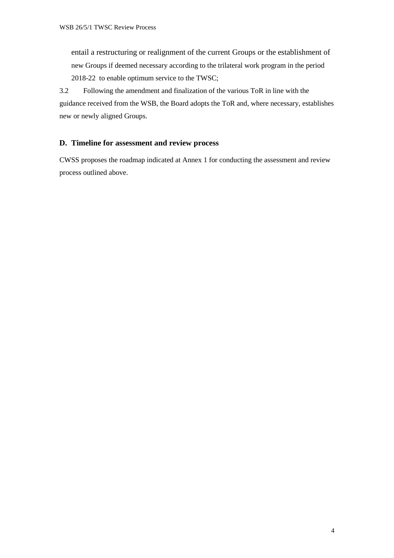entail a restructuring or realignment of the current Groups or the establishment of new Groups if deemed necessary according to the trilateral work program in the period 2018-22 to enable optimum service to the TWSC;

3.2 Following the amendment and finalization of the various ToR in line with the guidance received from the WSB, the Board adopts the ToR and, where necessary, establishes new or newly aligned Groups.

#### **D. Timeline for assessment and review process**

CWSS proposes the roadmap indicated at Annex 1 for conducting the assessment and review process outlined above.